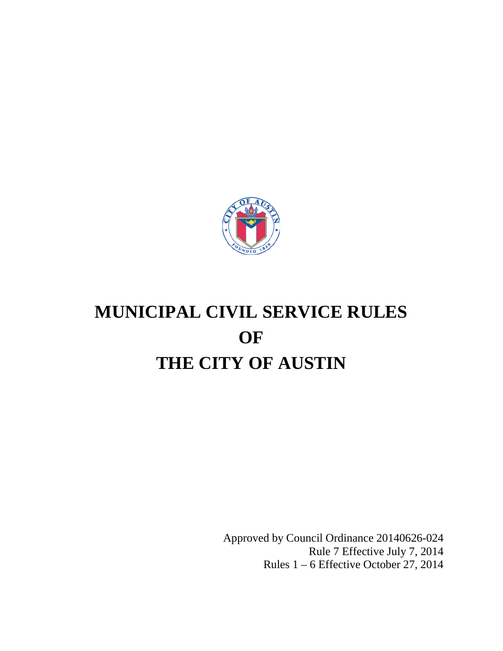

# **MUNICIPAL CIVIL SERVICE RULES OF THE CITY OF AUSTIN**

Approved by Council Ordinance 20140626-024 Rule 7 Effective July 7, 2014 Rules 1 – 6 Effective October 27, 2014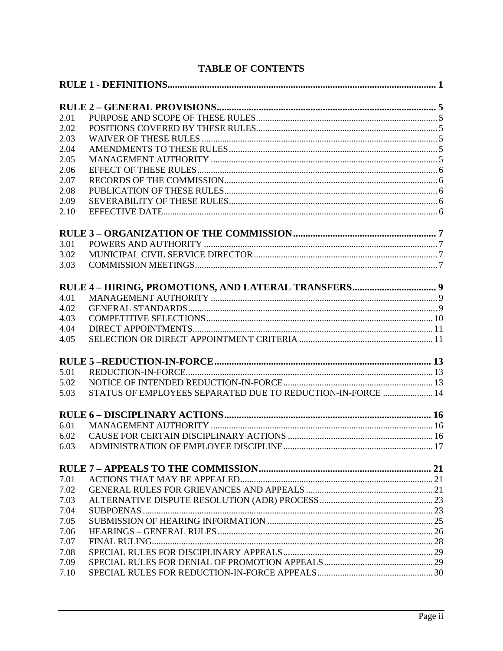| 2.01 |                                                             |  |
|------|-------------------------------------------------------------|--|
| 2.02 |                                                             |  |
| 2.03 |                                                             |  |
| 2.04 |                                                             |  |
| 2.05 |                                                             |  |
| 2.06 |                                                             |  |
| 2.07 |                                                             |  |
| 2.08 |                                                             |  |
| 2.09 |                                                             |  |
| 2.10 |                                                             |  |
|      |                                                             |  |
| 3.01 |                                                             |  |
| 3.02 |                                                             |  |
| 3.03 |                                                             |  |
|      |                                                             |  |
| 4.01 |                                                             |  |
| 4.02 |                                                             |  |
| 4.03 |                                                             |  |
| 4.04 |                                                             |  |
| 4.05 |                                                             |  |
|      |                                                             |  |
| 5.01 |                                                             |  |
| 5.02 |                                                             |  |
| 5.03 | STATUS OF EMPLOYEES SEPARATED DUE TO REDUCTION-IN-FORCE  14 |  |
|      |                                                             |  |
| 6.01 |                                                             |  |
| 6.02 |                                                             |  |
| 6.03 |                                                             |  |
|      |                                                             |  |
| 7.01 |                                                             |  |
| 7.02 |                                                             |  |
| 7.03 |                                                             |  |
| 7.04 |                                                             |  |
| 7.05 |                                                             |  |
| 7.06 |                                                             |  |
| 7.07 |                                                             |  |
| 7.08 |                                                             |  |
| 7.09 |                                                             |  |
| 7.10 |                                                             |  |

# **TABLE OF CONTENTS**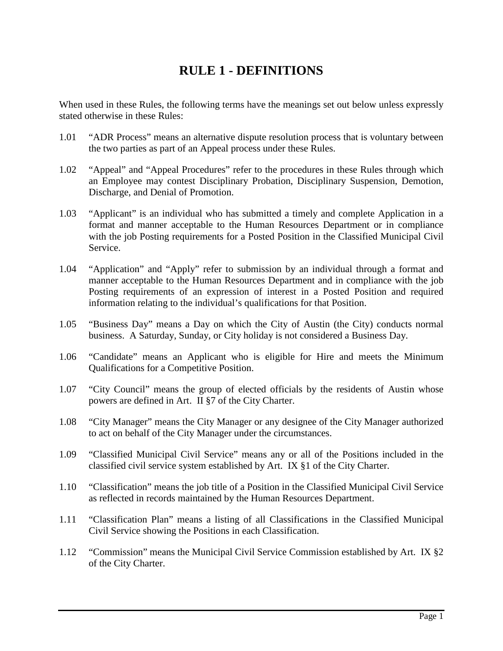# **RULE 1 - DEFINITIONS**

<span id="page-2-0"></span>When used in these Rules, the following terms have the meanings set out below unless expressly stated otherwise in these Rules:

- 1.01 "ADR Process" means an alternative dispute resolution process that is voluntary between the two parties as part of an Appeal process under these Rules.
- 1.02 "Appeal" and "Appeal Procedures" refer to the procedures in these Rules through which an Employee may contest Disciplinary Probation, Disciplinary Suspension, Demotion, Discharge, and Denial of Promotion.
- 1.03 "Applicant" is an individual who has submitted a timely and complete Application in a format and manner acceptable to the Human Resources Department or in compliance with the job Posting requirements for a Posted Position in the Classified Municipal Civil Service.
- 1.04 "Application" and "Apply" refer to submission by an individual through a format and manner acceptable to the Human Resources Department and in compliance with the job Posting requirements of an expression of interest in a Posted Position and required information relating to the individual's qualifications for that Position.
- 1.05 "Business Day" means a Day on which the City of Austin (the City) conducts normal business. A Saturday, Sunday, or City holiday is not considered a Business Day.
- 1.06 "Candidate" means an Applicant who is eligible for Hire and meets the Minimum Qualifications for a Competitive Position.
- 1.07 "City Council" means the group of elected officials by the residents of Austin whose powers are defined in Art. II §7 of the City Charter.
- 1.08 "City Manager" means the City Manager or any designee of the City Manager authorized to act on behalf of the City Manager under the circumstances.
- 1.09 "Classified Municipal Civil Service" means any or all of the Positions included in the classified civil service system established by Art. IX §1 of the City Charter.
- 1.10 "Classification" means the job title of a Position in the Classified Municipal Civil Service as reflected in records maintained by the Human Resources Department.
- 1.11 "Classification Plan" means a listing of all Classifications in the Classified Municipal Civil Service showing the Positions in each Classification.
- 1.12 "Commission" means the Municipal Civil Service Commission established by Art. IX §2 of the City Charter.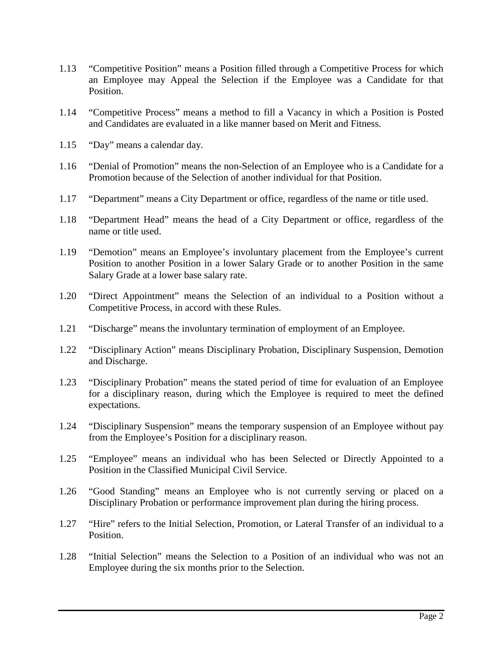- 1.13 "Competitive Position" means a Position filled through a Competitive Process for which an Employee may Appeal the Selection if the Employee was a Candidate for that Position.
- 1.14 "Competitive Process" means a method to fill a Vacancy in which a Position is Posted and Candidates are evaluated in a like manner based on Merit and Fitness.
- 1.15 "Day" means a calendar day.
- 1.16 "Denial of Promotion" means the non-Selection of an Employee who is a Candidate for a Promotion because of the Selection of another individual for that Position.
- 1.17 "Department" means a City Department or office, regardless of the name or title used.
- 1.18 "Department Head" means the head of a City Department or office, regardless of the name or title used.
- 1.19 "Demotion" means an Employee's involuntary placement from the Employee's current Position to another Position in a lower Salary Grade or to another Position in the same Salary Grade at a lower base salary rate.
- 1.20 "Direct Appointment" means the Selection of an individual to a Position without a Competitive Process, in accord with these Rules.
- 1.21 "Discharge" means the involuntary termination of employment of an Employee.
- 1.22 "Disciplinary Action" means Disciplinary Probation, Disciplinary Suspension, Demotion and Discharge.
- 1.23 "Disciplinary Probation" means the stated period of time for evaluation of an Employee for a disciplinary reason, during which the Employee is required to meet the defined expectations.
- 1.24 "Disciplinary Suspension" means the temporary suspension of an Employee without pay from the Employee's Position for a disciplinary reason.
- 1.25 "Employee" means an individual who has been Selected or Directly Appointed to a Position in the Classified Municipal Civil Service.
- 1.26 "Good Standing" means an Employee who is not currently serving or placed on a Disciplinary Probation or performance improvement plan during the hiring process.
- 1.27 "Hire" refers to the Initial Selection, Promotion, or Lateral Transfer of an individual to a Position.
- 1.28 "Initial Selection" means the Selection to a Position of an individual who was not an Employee during the six months prior to the Selection.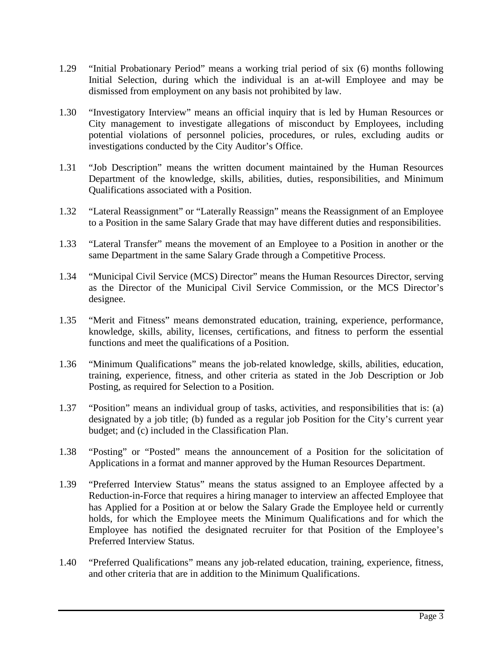- 1.29 "Initial Probationary Period" means a working trial period of six (6) months following Initial Selection, during which the individual is an at-will Employee and may be dismissed from employment on any basis not prohibited by law.
- 1.30 "Investigatory Interview" means an official inquiry that is led by Human Resources or City management to investigate allegations of misconduct by Employees, including potential violations of personnel policies, procedures, or rules, excluding audits or investigations conducted by the City Auditor's Office.
- 1.31 "Job Description" means the written document maintained by the Human Resources Department of the knowledge, skills, abilities, duties, responsibilities, and Minimum Qualifications associated with a Position.
- 1.32 "Lateral Reassignment" or "Laterally Reassign" means the Reassignment of an Employee to a Position in the same Salary Grade that may have different duties and responsibilities.
- 1.33 "Lateral Transfer" means the movement of an Employee to a Position in another or the same Department in the same Salary Grade through a Competitive Process.
- 1.34 "Municipal Civil Service (MCS) Director" means the Human Resources Director, serving as the Director of the Municipal Civil Service Commission, or the MCS Director's designee.
- 1.35 "Merit and Fitness" means demonstrated education, training, experience, performance, knowledge, skills, ability, licenses, certifications, and fitness to perform the essential functions and meet the qualifications of a Position.
- 1.36 "Minimum Qualifications" means the job-related knowledge, skills, abilities, education, training, experience, fitness, and other criteria as stated in the Job Description or Job Posting, as required for Selection to a Position.
- 1.37 "Position" means an individual group of tasks, activities, and responsibilities that is: (a) designated by a job title; (b) funded as a regular job Position for the City's current year budget; and (c) included in the Classification Plan.
- 1.38 "Posting" or "Posted" means the announcement of a Position for the solicitation of Applications in a format and manner approved by the Human Resources Department.
- 1.39 "Preferred Interview Status" means the status assigned to an Employee affected by a Reduction-in-Force that requires a hiring manager to interview an affected Employee that has Applied for a Position at or below the Salary Grade the Employee held or currently holds, for which the Employee meets the Minimum Qualifications and for which the Employee has notified the designated recruiter for that Position of the Employee's Preferred Interview Status.
- 1.40 "Preferred Qualifications" means any job-related education, training, experience, fitness, and other criteria that are in addition to the Minimum Qualifications.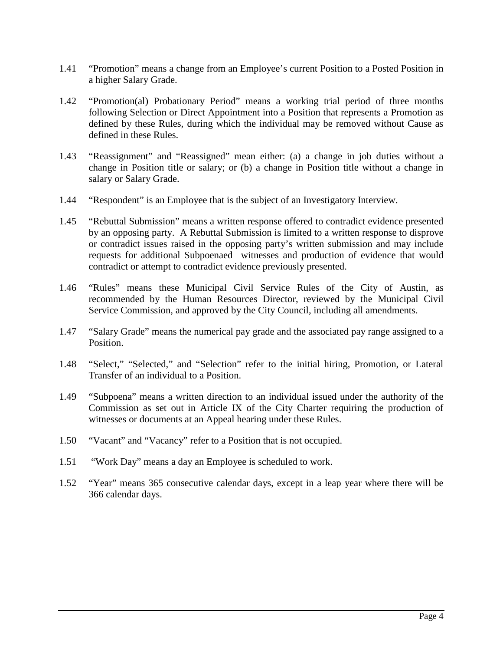- 1.41 "Promotion" means a change from an Employee's current Position to a Posted Position in a higher Salary Grade.
- 1.42 "Promotion(al) Probationary Period" means a working trial period of three months following Selection or Direct Appointment into a Position that represents a Promotion as defined by these Rules, during which the individual may be removed without Cause as defined in these Rules.
- 1.43 "Reassignment" and "Reassigned" mean either: (a) a change in job duties without a change in Position title or salary; or (b) a change in Position title without a change in salary or Salary Grade.
- 1.44 "Respondent" is an Employee that is the subject of an Investigatory Interview.
- 1.45 "Rebuttal Submission" means a written response offered to contradict evidence presented by an opposing party. A Rebuttal Submission is limited to a written response to disprove or contradict issues raised in the opposing party's written submission and may include requests for additional Subpoenaed witnesses and production of evidence that would contradict or attempt to contradict evidence previously presented.
- 1.46 "Rules" means these Municipal Civil Service Rules of the City of Austin, as recommended by the Human Resources Director, reviewed by the Municipal Civil Service Commission, and approved by the City Council, including all amendments.
- 1.47 "Salary Grade" means the numerical pay grade and the associated pay range assigned to a Position.
- 1.48 "Select," "Selected," and "Selection" refer to the initial hiring, Promotion, or Lateral Transfer of an individual to a Position.
- 1.49 "Subpoena" means a written direction to an individual issued under the authority of the Commission as set out in Article IX of the City Charter requiring the production of witnesses or documents at an Appeal hearing under these Rules.
- 1.50 "Vacant" and "Vacancy" refer to a Position that is not occupied.
- 1.51 "Work Day" means a day an Employee is scheduled to work.
- 1.52 "Year" means 365 consecutive calendar days, except in a leap year where there will be 366 calendar days.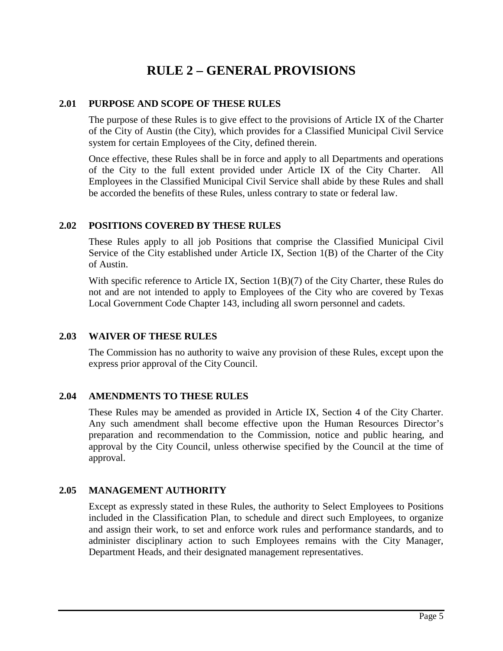# **RULE 2 – GENERAL PROVISIONS**

# <span id="page-6-1"></span><span id="page-6-0"></span>**2.01 PURPOSE AND SCOPE OF THESE RULES**

The purpose of these Rules is to give effect to the provisions of Article IX of the Charter of the City of Austin (the City), which provides for a Classified Municipal Civil Service system for certain Employees of the City, defined therein.

Once effective, these Rules shall be in force and apply to all Departments and operations of the City to the full extent provided under Article IX of the City Charter. All Employees in the Classified Municipal Civil Service shall abide by these Rules and shall be accorded the benefits of these Rules, unless contrary to state or federal law.

# <span id="page-6-2"></span>**2.02 POSITIONS COVERED BY THESE RULES**

These Rules apply to all job Positions that comprise the Classified Municipal Civil Service of the City established under Article IX, Section 1(B) of the Charter of the City of Austin.

With specific reference to Article IX, Section 1(B)(7) of the City Charter, these Rules do not and are not intended to apply to Employees of the City who are covered by Texas Local Government Code Chapter 143, including all sworn personnel and cadets.

# <span id="page-6-3"></span>**2.03 WAIVER OF THESE RULES**

The Commission has no authority to waive any provision of these Rules, except upon the express prior approval of the City Council.

# <span id="page-6-4"></span>**2.04 AMENDMENTS TO THESE RULES**

These Rules may be amended as provided in Article IX, Section 4 of the City Charter. Any such amendment shall become effective upon the Human Resources Director's preparation and recommendation to the Commission, notice and public hearing, and approval by the City Council, unless otherwise specified by the Council at the time of approval.

# <span id="page-6-5"></span>**2.05 MANAGEMENT AUTHORITY**

Except as expressly stated in these Rules, the authority to Select Employees to Positions included in the Classification Plan, to schedule and direct such Employees, to organize and assign their work, to set and enforce work rules and performance standards, and to administer disciplinary action to such Employees remains with the City Manager, Department Heads, and their designated management representatives.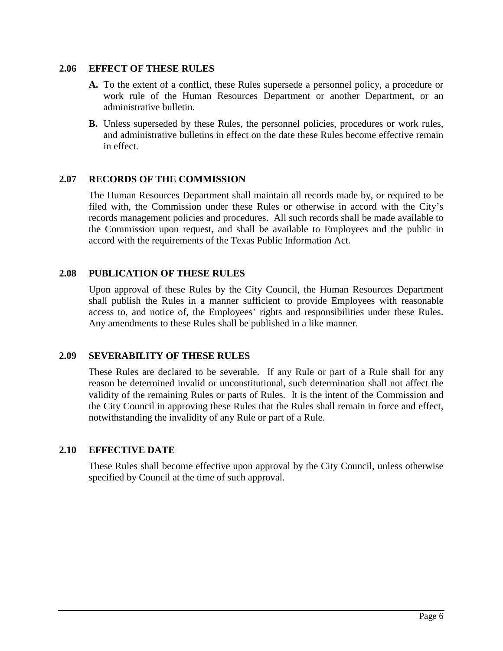#### <span id="page-7-0"></span>**2.06 EFFECT OF THESE RULES**

- **A.** To the extent of a conflict, these Rules supersede a personnel policy, a procedure or work rule of the Human Resources Department or another Department, or an administrative bulletin.
- **B.** Unless superseded by these Rules, the personnel policies, procedures or work rules, and administrative bulletins in effect on the date these Rules become effective remain in effect.

# <span id="page-7-1"></span>**2.07 RECORDS OF THE COMMISSION**

The Human Resources Department shall maintain all records made by, or required to be filed with, the Commission under these Rules or otherwise in accord with the City's records management policies and procedures. All such records shall be made available to the Commission upon request, and shall be available to Employees and the public in accord with the requirements of the Texas Public Information Act.

# <span id="page-7-2"></span>**2.08 PUBLICATION OF THESE RULES**

Upon approval of these Rules by the City Council, the Human Resources Department shall publish the Rules in a manner sufficient to provide Employees with reasonable access to, and notice of, the Employees' rights and responsibilities under these Rules. Any amendments to these Rules shall be published in a like manner.

#### <span id="page-7-3"></span>**2.09 SEVERABILITY OF THESE RULES**

These Rules are declared to be severable. If any Rule or part of a Rule shall for any reason be determined invalid or unconstitutional, such determination shall not affect the validity of the remaining Rules or parts of Rules. It is the intent of the Commission and the City Council in approving these Rules that the Rules shall remain in force and effect, notwithstanding the invalidity of any Rule or part of a Rule.

# <span id="page-7-4"></span>**2.10 EFFECTIVE DATE**

These Rules shall become effective upon approval by the City Council, unless otherwise specified by Council at the time of such approval.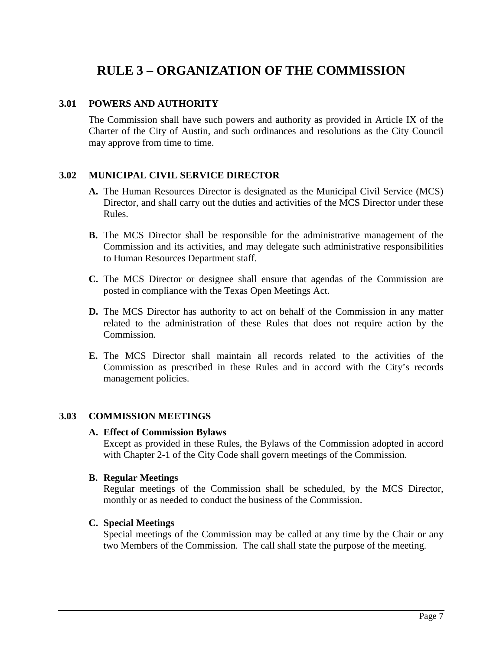# **RULE 3 – ORGANIZATION OF THE COMMISSION**

# <span id="page-8-1"></span><span id="page-8-0"></span>**3.01 POWERS AND AUTHORITY**

The Commission shall have such powers and authority as provided in Article IX of the Charter of the City of Austin, and such ordinances and resolutions as the City Council may approve from time to time.

# <span id="page-8-2"></span>**3.02 MUNICIPAL CIVIL SERVICE DIRECTOR**

- **A.** The Human Resources Director is designated as the Municipal Civil Service (MCS) Director, and shall carry out the duties and activities of the MCS Director under these Rules.
- **B.** The MCS Director shall be responsible for the administrative management of the Commission and its activities, and may delegate such administrative responsibilities to Human Resources Department staff.
- **C.** The MCS Director or designee shall ensure that agendas of the Commission are posted in compliance with the Texas Open Meetings Act.
- **D.** The MCS Director has authority to act on behalf of the Commission in any matter related to the administration of these Rules that does not require action by the Commission.
- **E.** The MCS Director shall maintain all records related to the activities of the Commission as prescribed in these Rules and in accord with the City's records management policies.

#### <span id="page-8-3"></span>**3.03 COMMISSION MEETINGS**

#### **A. Effect of Commission Bylaws**

Except as provided in these Rules, the Bylaws of the Commission adopted in accord with Chapter 2-1 of the City Code shall govern meetings of the Commission.

#### **B. Regular Meetings**

Regular meetings of the Commission shall be scheduled, by the MCS Director, monthly or as needed to conduct the business of the Commission.

#### **C. Special Meetings**

Special meetings of the Commission may be called at any time by the Chair or any two Members of the Commission. The call shall state the purpose of the meeting.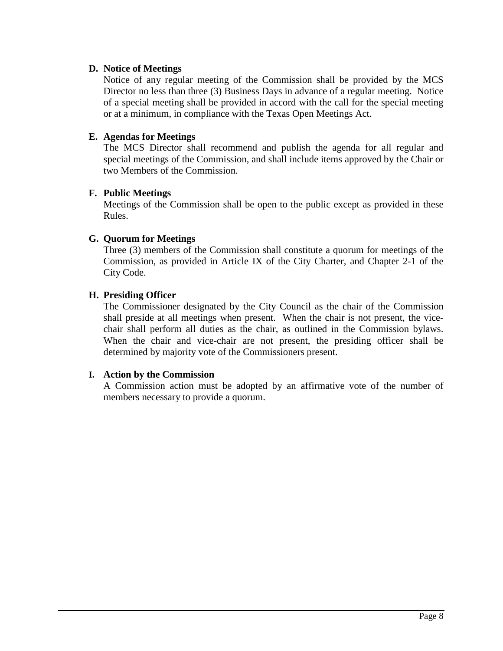# **D. Notice of Meetings**

Notice of any regular meeting of the Commission shall be provided by the MCS Director no less than three (3) Business Days in advance of a regular meeting. Notice of a special meeting shall be provided in accord with the call for the special meeting or at a minimum, in compliance with the Texas Open Meetings Act.

# **E. Agendas for Meetings**

The MCS Director shall recommend and publish the agenda for all regular and special meetings of the Commission, and shall include items approved by the Chair or two Members of the Commission.

#### **F. Public Meetings**

Meetings of the Commission shall be open to the public except as provided in these Rules.

# **G. Quorum for Meetings**

Three (3) members of the Commission shall constitute a quorum for meetings of the Commission, as provided in Article IX of the City Charter, and Chapter 2-1 of the City Code.

# **H. Presiding Officer**

The Commissioner designated by the City Council as the chair of the Commission shall preside at all meetings when present. When the chair is not present, the vicechair shall perform all duties as the chair, as outlined in the Commission bylaws. When the chair and vice-chair are not present, the presiding officer shall be determined by majority vote of the Commissioners present.

#### **I. Action by the Commission**

A Commission action must be adopted by an affirmative vote of the number of members necessary to provide a quorum.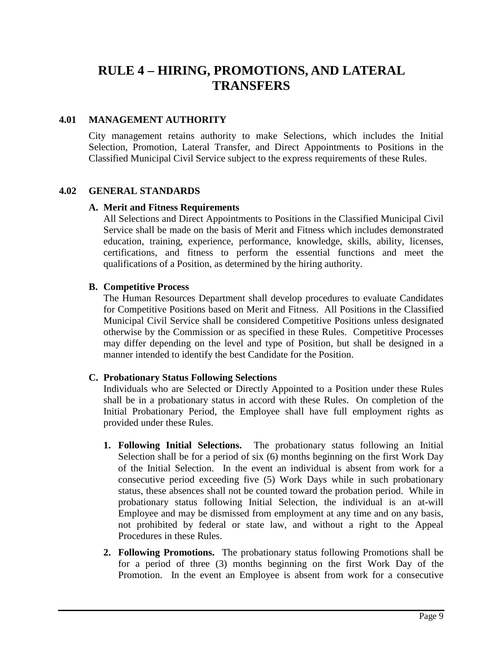# <span id="page-10-0"></span>**RULE 4 – HIRING, PROMOTIONS, AND LATERAL TRANSFERS**

# <span id="page-10-1"></span>**4.01 MANAGEMENT AUTHORITY**

City management retains authority to make Selections, which includes the Initial Selection, Promotion, Lateral Transfer, and Direct Appointments to Positions in the Classified Municipal Civil Service subject to the express requirements of these Rules.

#### <span id="page-10-2"></span>**4.02 GENERAL STANDARDS**

#### **A. Merit and Fitness Requirements**

All Selections and Direct Appointments to Positions in the Classified Municipal Civil Service shall be made on the basis of Merit and Fitness which includes demonstrated education, training, experience, performance, knowledge, skills, ability, licenses, certifications, and fitness to perform the essential functions and meet the qualifications of a Position, as determined by the hiring authority.

#### **B. Competitive Process**

The Human Resources Department shall develop procedures to evaluate Candidates for Competitive Positions based on Merit and Fitness. All Positions in the Classified Municipal Civil Service shall be considered Competitive Positions unless designated otherwise by the Commission or as specified in these Rules. Competitive Processes may differ depending on the level and type of Position, but shall be designed in a manner intended to identify the best Candidate for the Position.

#### **C. Probationary Status Following Selections**

Individuals who are Selected or Directly Appointed to a Position under these Rules shall be in a probationary status in accord with these Rules. On completion of the Initial Probationary Period, the Employee shall have full employment rights as provided under these Rules.

- **1. Following Initial Selections.** The probationary status following an Initial Selection shall be for a period of six (6) months beginning on the first Work Day of the Initial Selection. In the event an individual is absent from work for a consecutive period exceeding five (5) Work Days while in such probationary status, these absences shall not be counted toward the probation period. While in probationary status following Initial Selection, the individual is an at-will Employee and may be dismissed from employment at any time and on any basis, not prohibited by federal or state law, and without a right to the Appeal Procedures in these Rules.
- **2. Following Promotions.** The probationary status following Promotions shall be for a period of three (3) months beginning on the first Work Day of the Promotion. In the event an Employee is absent from work for a consecutive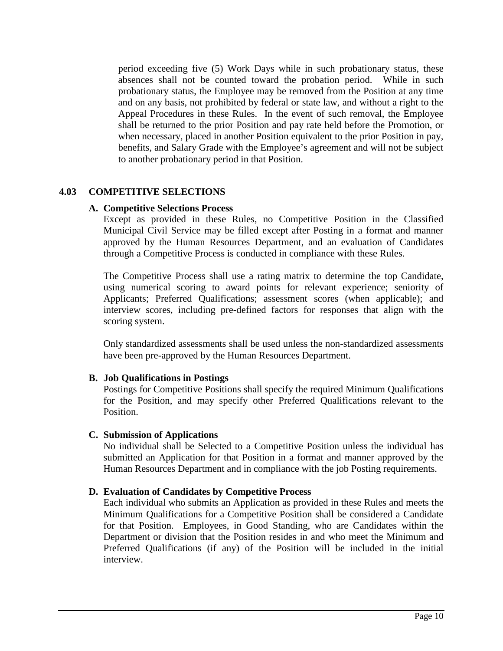period exceeding five (5) Work Days while in such probationary status, these absences shall not be counted toward the probation period. While in such probationary status, the Employee may be removed from the Position at any time and on any basis, not prohibited by federal or state law, and without a right to the Appeal Procedures in these Rules. In the event of such removal, the Employee shall be returned to the prior Position and pay rate held before the Promotion, or when necessary, placed in another Position equivalent to the prior Position in pay, benefits, and Salary Grade with the Employee's agreement and will not be subject to another probationary period in that Position.

#### <span id="page-11-0"></span>**4.03 COMPETITIVE SELECTIONS**

#### **A. Competitive Selections Process**

Except as provided in these Rules, no Competitive Position in the Classified Municipal Civil Service may be filled except after Posting in a format and manner approved by the Human Resources Department, and an evaluation of Candidates through a Competitive Process is conducted in compliance with these Rules.

The Competitive Process shall use a rating matrix to determine the top Candidate, using numerical scoring to award points for relevant experience; seniority of Applicants; Preferred Qualifications; assessment scores (when applicable); and interview scores, including pre-defined factors for responses that align with the scoring system.

Only standardized assessments shall be used unless the non-standardized assessments have been pre-approved by the Human Resources Department.

#### **B. Job Qualifications in Postings**

Postings for Competitive Positions shall specify the required Minimum Qualifications for the Position, and may specify other Preferred Qualifications relevant to the Position.

#### **C. Submission of Applications**

No individual shall be Selected to a Competitive Position unless the individual has submitted an Application for that Position in a format and manner approved by the Human Resources Department and in compliance with the job Posting requirements.

#### **D. Evaluation of Candidates by Competitive Process**

Each individual who submits an Application as provided in these Rules and meets the Minimum Qualifications for a Competitive Position shall be considered a Candidate for that Position. Employees, in Good Standing, who are Candidates within the Department or division that the Position resides in and who meet the Minimum and Preferred Qualifications (if any) of the Position will be included in the initial interview.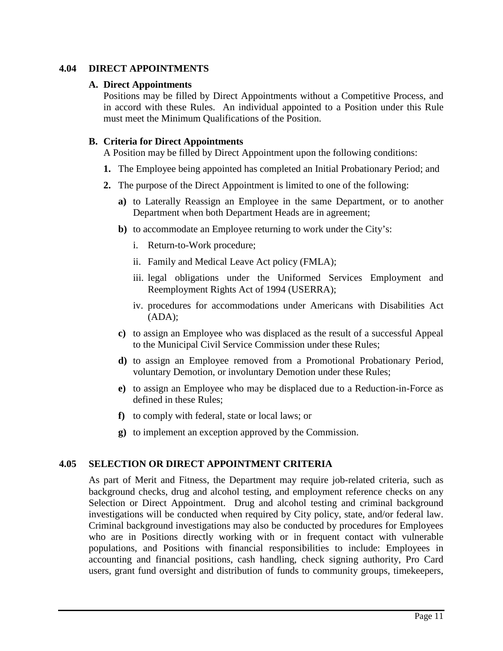# <span id="page-12-0"></span>**4.04 DIRECT APPOINTMENTS**

# **A. Direct Appointments**

Positions may be filled by Direct Appointments without a Competitive Process, and in accord with these Rules. An individual appointed to a Position under this Rule must meet the Minimum Qualifications of the Position.

# **B. Criteria for Direct Appointments**

A Position may be filled by Direct Appointment upon the following conditions:

- **1.** The Employee being appointed has completed an Initial Probationary Period; and
- **2.** The purpose of the Direct Appointment is limited to one of the following:
	- **a)** to Laterally Reassign an Employee in the same Department, or to another Department when both Department Heads are in agreement;
	- **b**) to accommodate an Employee returning to work under the City's:
		- i. Return-to-Work procedure;
		- ii. Family and Medical Leave Act policy (FMLA);
		- iii. legal obligations under the Uniformed Services Employment and Reemployment Rights Act of 1994 (USERRA);
		- iv. procedures for accommodations under Americans with Disabilities Act (ADA);
	- **c)** to assign an Employee who was displaced as the result of a successful Appeal to the Municipal Civil Service Commission under these Rules;
	- **d)** to assign an Employee removed from a Promotional Probationary Period, voluntary Demotion, or involuntary Demotion under these Rules;
	- **e)** to assign an Employee who may be displaced due to a Reduction-in-Force as defined in these Rules;
	- **f)** to comply with federal, state or local laws; or
	- **g)** to implement an exception approved by the Commission.

# <span id="page-12-1"></span>**4.05 SELECTION OR DIRECT APPOINTMENT CRITERIA**

As part of Merit and Fitness, the Department may require job-related criteria, such as background checks, drug and alcohol testing, and employment reference checks on any Selection or Direct Appointment. Drug and alcohol testing and criminal background investigations will be conducted when required by City policy, state, and/or federal law. Criminal background investigations may also be conducted by procedures for Employees who are in Positions directly working with or in frequent contact with vulnerable populations, and Positions with financial responsibilities to include: Employees in accounting and financial positions, cash handling, check signing authority, Pro Card users, grant fund oversight and distribution of funds to community groups, timekeepers,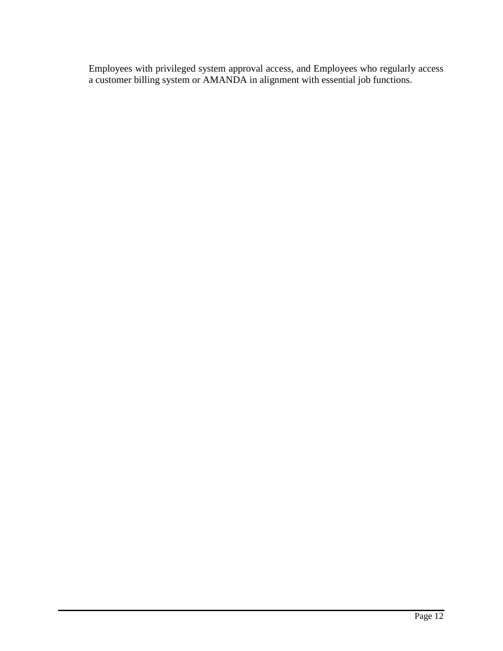Employees with privileged system approval access, and Employees who regularly access a customer billing system or AMANDA in alignment with essential job functions.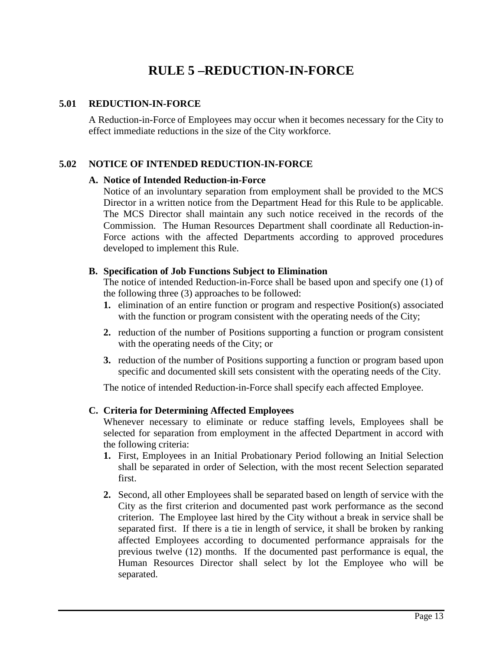# **RULE 5 –REDUCTION-IN-FORCE**

# <span id="page-14-1"></span><span id="page-14-0"></span>**5.01 REDUCTION-IN-FORCE**

A Reduction-in-Force of Employees may occur when it becomes necessary for the City to effect immediate reductions in the size of the City workforce.

#### <span id="page-14-2"></span>**5.02 NOTICE OF INTENDED REDUCTION-IN-FORCE**

#### **A. Notice of Intended Reduction-in-Force**

Notice of an involuntary separation from employment shall be provided to the MCS Director in a written notice from the Department Head for this Rule to be applicable. The MCS Director shall maintain any such notice received in the records of the Commission. The Human Resources Department shall coordinate all Reduction-in-Force actions with the affected Departments according to approved procedures developed to implement this Rule.

# **B. Specification of Job Functions Subject to Elimination**

The notice of intended Reduction-in-Force shall be based upon and specify one (1) of the following three (3) approaches to be followed:

- **1.** elimination of an entire function or program and respective Position(s) associated with the function or program consistent with the operating needs of the City;
- **2.** reduction of the number of Positions supporting a function or program consistent with the operating needs of the City; or
- **3.** reduction of the number of Positions supporting a function or program based upon specific and documented skill sets consistent with the operating needs of the City.

The notice of intended Reduction-in-Force shall specify each affected Employee.

#### **C. Criteria for Determining Affected Employees**

Whenever necessary to eliminate or reduce staffing levels, Employees shall be selected for separation from employment in the affected Department in accord with the following criteria:

- **1.** First, Employees in an Initial Probationary Period following an Initial Selection shall be separated in order of Selection, with the most recent Selection separated first.
- **2.** Second, all other Employees shall be separated based on length of service with the City as the first criterion and documented past work performance as the second criterion. The Employee last hired by the City without a break in service shall be separated first. If there is a tie in length of service, it shall be broken by ranking affected Employees according to documented performance appraisals for the previous twelve (12) months. If the documented past performance is equal, the Human Resources Director shall select by lot the Employee who will be separated.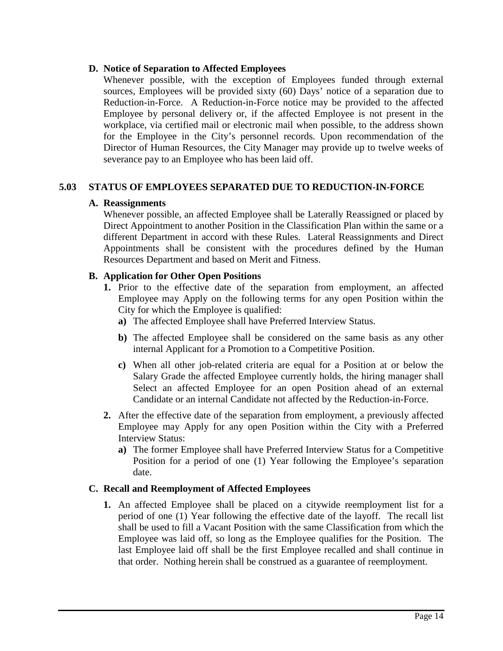# **D. Notice of Separation to Affected Employees**

Whenever possible, with the exception of Employees funded through external sources, Employees will be provided sixty (60) Days' notice of a separation due to Reduction-in-Force. A Reduction-in-Force notice may be provided to the affected Employee by personal delivery or, if the affected Employee is not present in the workplace, via certified mail or electronic mail when possible, to the address shown for the Employee in the City's personnel records. Upon recommendation of the Director of Human Resources, the City Manager may provide up to twelve weeks of severance pay to an Employee who has been laid off.

# <span id="page-15-0"></span>**5.03 STATUS OF EMPLOYEES SEPARATED DUE TO REDUCTION-IN-FORCE**

# **A. Reassignments**

Whenever possible, an affected Employee shall be Laterally Reassigned or placed by Direct Appointment to another Position in the Classification Plan within the same or a different Department in accord with these Rules. Lateral Reassignments and Direct Appointments shall be consistent with the procedures defined by the Human Resources Department and based on Merit and Fitness.

# **B. Application for Other Open Positions**

- **1.** Prior to the effective date of the separation from employment, an affected Employee may Apply on the following terms for any open Position within the City for which the Employee is qualified:
	- **a)** The affected Employee shall have Preferred Interview Status.
	- **b)** The affected Employee shall be considered on the same basis as any other internal Applicant for a Promotion to a Competitive Position.
	- **c)** When all other job-related criteria are equal for a Position at or below the Salary Grade the affected Employee currently holds, the hiring manager shall Select an affected Employee for an open Position ahead of an external Candidate or an internal Candidate not affected by the Reduction-in-Force.
- **2.** After the effective date of the separation from employment, a previously affected Employee may Apply for any open Position within the City with a Preferred Interview Status:
	- **a)** The former Employee shall have Preferred Interview Status for a Competitive Position for a period of one (1) Year following the Employee's separation date.

# **C. Recall and Reemployment of Affected Employees**

**1.** An affected Employee shall be placed on a citywide reemployment list for a period of one (1) Year following the effective date of the layoff. The recall list shall be used to fill a Vacant Position with the same Classification from which the Employee was laid off, so long as the Employee qualifies for the Position. The last Employee laid off shall be the first Employee recalled and shall continue in that order. Nothing herein shall be construed as a guarantee of reemployment.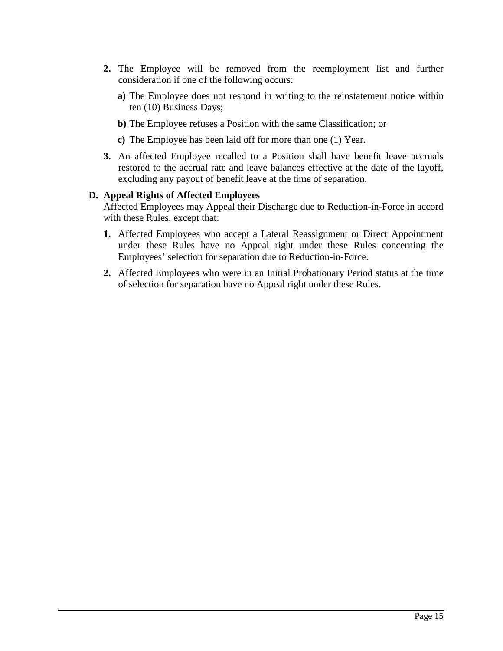- **2.** The Employee will be removed from the reemployment list and further consideration if one of the following occurs:
	- **a)** The Employee does not respond in writing to the reinstatement notice within ten (10) Business Days;
	- **b)** The Employee refuses a Position with the same Classification; or
	- **c)** The Employee has been laid off for more than one (1) Year.
- **3.** An affected Employee recalled to a Position shall have benefit leave accruals restored to the accrual rate and leave balances effective at the date of the layoff, excluding any payout of benefit leave at the time of separation.

# **D. Appeal Rights of Affected Employees**

Affected Employees may Appeal their Discharge due to Reduction-in-Force in accord with these Rules, except that:

- **1.** Affected Employees who accept a Lateral Reassignment or Direct Appointment under these Rules have no Appeal right under these Rules concerning the Employees' selection for separation due to Reduction-in-Force.
- **2.** Affected Employees who were in an Initial Probationary Period status at the time of selection for separation have no Appeal right under these Rules.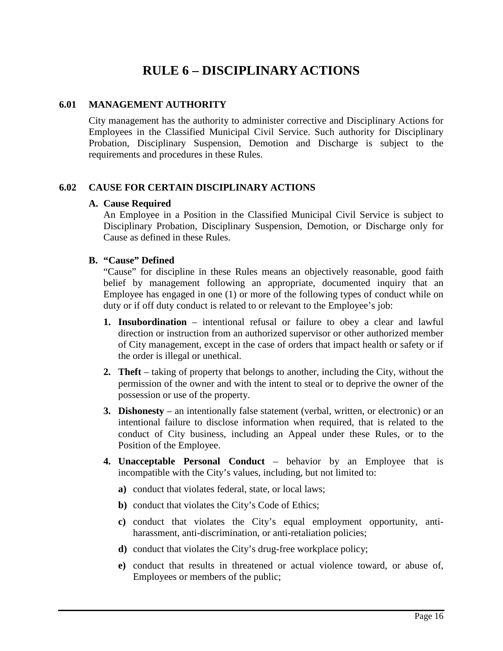# **RULE 6 – DISCIPLINARY ACTIONS**

# <span id="page-17-1"></span><span id="page-17-0"></span>**6.01 MANAGEMENT AUTHORITY**

City management has the authority to administer corrective and Disciplinary Actions for Employees in the Classified Municipal Civil Service. Such authority for Disciplinary Probation, Disciplinary Suspension, Demotion and Discharge is subject to the requirements and procedures in these Rules.

# <span id="page-17-2"></span>**6.02 CAUSE FOR CERTAIN DISCIPLINARY ACTIONS**

#### **A. Cause Required**

An Employee in a Position in the Classified Municipal Civil Service is subject to Disciplinary Probation, Disciplinary Suspension, Demotion, or Discharge only for Cause as defined in these Rules.

#### **B. "Cause" Defined**

"Cause" for discipline in these Rules means an objectively reasonable, good faith belief by management following an appropriate, documented inquiry that an Employee has engaged in one (1) or more of the following types of conduct while on duty or if off duty conduct is related to or relevant to the Employee's job:

- **1. Insubordination**  intentional refusal or failure to obey a clear and lawful direction or instruction from an authorized supervisor or other authorized member of City management, except in the case of orders that impact health or safety or if the order is illegal or unethical.
- **2. Theft** taking of property that belongs to another, including the City, without the permission of the owner and with the intent to steal or to deprive the owner of the possession or use of the property.
- **3. Dishonesty** an intentionally false statement (verbal, written, or electronic) or an intentional failure to disclose information when required, that is related to the conduct of City business, including an Appeal under these Rules, or to the Position of the Employee.
- **4. Unacceptable Personal Conduct** behavior by an Employee that is incompatible with the City's values, including, but not limited to:
	- **a)** conduct that violates federal, state, or local laws;
	- **b)** conduct that violates the City's Code of Ethics;
	- **c)** conduct that violates the City's equal employment opportunity, antiharassment, anti-discrimination, or anti-retaliation policies;
	- **d)** conduct that violates the City's drug-free workplace policy;
	- **e)** conduct that results in threatened or actual violence toward, or abuse of, Employees or members of the public;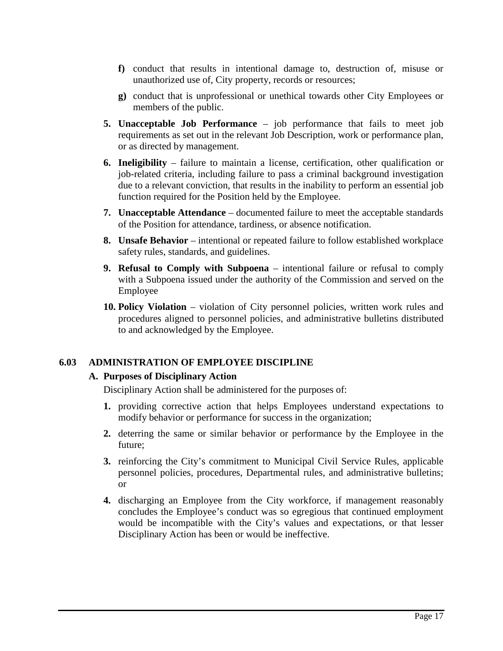- **f)** conduct that results in intentional damage to, destruction of, misuse or unauthorized use of, City property, records or resources;
- **g)** conduct that is unprofessional or unethical towards other City Employees or members of the public.
- **5. Unacceptable Job Performance** job performance that fails to meet job requirements as set out in the relevant Job Description, work or performance plan, or as directed by management.
- **6. Ineligibility** failure to maintain a license, certification, other qualification or job-related criteria, including failure to pass a criminal background investigation due to a relevant conviction, that results in the inability to perform an essential job function required for the Position held by the Employee.
- **7. Unacceptable Attendance** documented failure to meet the acceptable standards of the Position for attendance, tardiness, or absence notification.
- **8. Unsafe Behavior** intentional or repeated failure to follow established workplace safety rules, standards, and guidelines.
- **9. Refusal to Comply with Subpoena** intentional failure or refusal to comply with a Subpoena issued under the authority of the Commission and served on the Employee
- **10. Policy Violation** violation of City personnel policies, written work rules and procedures aligned to personnel policies, and administrative bulletins distributed to and acknowledged by the Employee.

# <span id="page-18-0"></span>**6.03 ADMINISTRATION OF EMPLOYEE DISCIPLINE**

#### **A. Purposes of Disciplinary Action**

Disciplinary Action shall be administered for the purposes of:

- **1.** providing corrective action that helps Employees understand expectations to modify behavior or performance for success in the organization;
- **2.** deterring the same or similar behavior or performance by the Employee in the future;
- **3.** reinforcing the City's commitment to Municipal Civil Service Rules, applicable personnel policies, procedures, Departmental rules, and administrative bulletins; or
- **4.** discharging an Employee from the City workforce, if management reasonably concludes the Employee's conduct was so egregious that continued employment would be incompatible with the City's values and expectations, or that lesser Disciplinary Action has been or would be ineffective.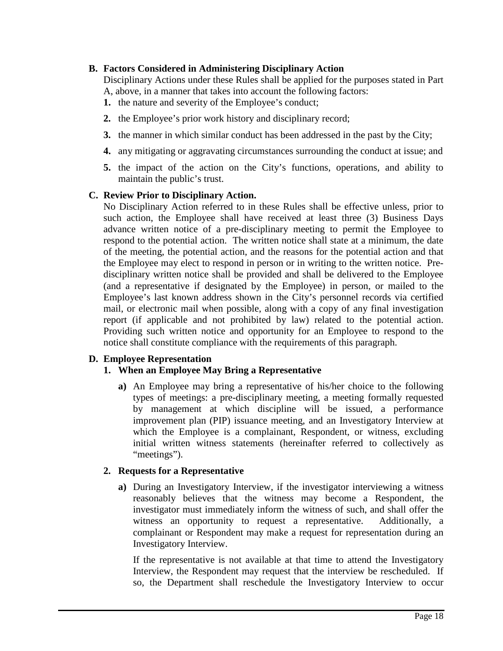# **B. Factors Considered in Administering Disciplinary Action**

Disciplinary Actions under these Rules shall be applied for the purposes stated in Part A, above, in a manner that takes into account the following factors:

- **1.** the nature and severity of the Employee's conduct;
- **2.** the Employee's prior work history and disciplinary record;
- **3.** the manner in which similar conduct has been addressed in the past by the City;
- **4.** any mitigating or aggravating circumstances surrounding the conduct at issue; and
- **5.** the impact of the action on the City's functions, operations, and ability to maintain the public's trust.

# **C. Review Prior to Disciplinary Action.**

No Disciplinary Action referred to in these Rules shall be effective unless, prior to such action, the Employee shall have received at least three (3) Business Days advance written notice of a pre-disciplinary meeting to permit the Employee to respond to the potential action. The written notice shall state at a minimum, the date of the meeting, the potential action, and the reasons for the potential action and that the Employee may elect to respond in person or in writing to the written notice. Predisciplinary written notice shall be provided and shall be delivered to the Employee (and a representative if designated by the Employee) in person, or mailed to the Employee's last known address shown in the City's personnel records via certified mail, or electronic mail when possible, along with a copy of any final investigation report (if applicable and not prohibited by law) related to the potential action. Providing such written notice and opportunity for an Employee to respond to the notice shall constitute compliance with the requirements of this paragraph.

# **D. Employee Representation**

# **1. When an Employee May Bring a Representative**

**a)** An Employee may bring a representative of his/her choice to the following types of meetings: a pre-disciplinary meeting, a meeting formally requested by management at which discipline will be issued, a performance improvement plan (PIP) issuance meeting, and an Investigatory Interview at which the Employee is a complainant, Respondent, or witness, excluding initial written witness statements (hereinafter referred to collectively as "meetings").

# **2. Requests for a Representative**

**a)** During an Investigatory Interview, if the investigator interviewing a witness reasonably believes that the witness may become a Respondent, the investigator must immediately inform the witness of such, and shall offer the witness an opportunity to request a representative. Additionally, a complainant or Respondent may make a request for representation during an Investigatory Interview.

If the representative is not available at that time to attend the Investigatory Interview, the Respondent may request that the interview be rescheduled. If so, the Department shall reschedule the Investigatory Interview to occur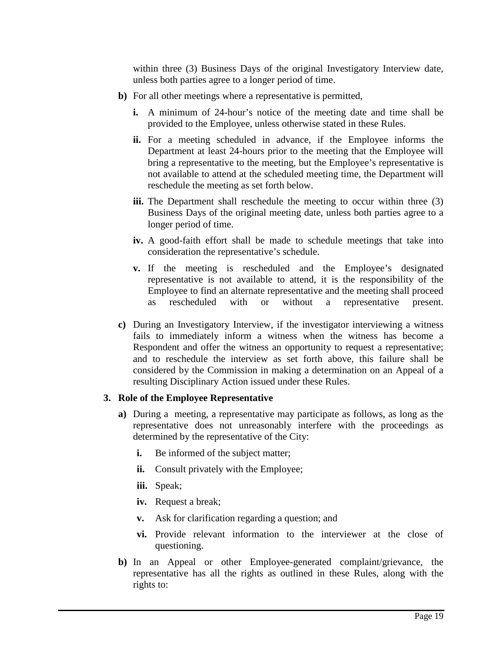within three (3) Business Days of the original Investigatory Interview date, unless both parties agree to a longer period of time.

- **b)** For all other meetings where a representative is permitted,
	- **i.** A minimum of 24-hour's notice of the meeting date and time shall be provided to the Employee, unless otherwise stated in these Rules.
	- ii. For a meeting scheduled in advance, if the Employee informs the Department at least 24-hours prior to the meeting that the Employee will bring a representative to the meeting, but the Employee's representative is not available to attend at the scheduled meeting time, the Department will reschedule the meeting as set forth below.
	- **iii.** The Department shall reschedule the meeting to occur within three (3) Business Days of the original meeting date, unless both parties agree to a longer period of time.
	- **iv.** A good-faith effort shall be made to schedule meetings that take into consideration the representative's schedule.
	- **v.** If the meeting is rescheduled and the Employee's designated representative is not available to attend, it is the responsibility of the Employee to find an alternate representative and the meeting shall proceed as rescheduled with or without a representative present.
- **c)** During an Investigatory Interview, if the investigator interviewing a witness fails to immediately inform a witness when the witness has become a Respondent and offer the witness an opportunity to request a representative; and to reschedule the interview as set forth above, this failure shall be considered by the Commission in making a determination on an Appeal of a resulting Disciplinary Action issued under these Rules.

# **3. Role of the Employee Representative**

- **a)** During a meeting, a representative may participate as follows, as long as the representative does not unreasonably interfere with the proceedings as determined by the representative of the City:
	- **i.** Be informed of the subject matter;
	- **ii.** Consult privately with the Employee;
	- **iii.** Speak;
	- **iv.** Request a break;
	- **v.** Ask for clarification regarding a question; and
	- **vi.** Provide relevant information to the interviewer at the close of questioning.
- **b)** In an Appeal or other Employee-generated complaint/grievance, the representative has all the rights as outlined in these Rules, along with the rights to: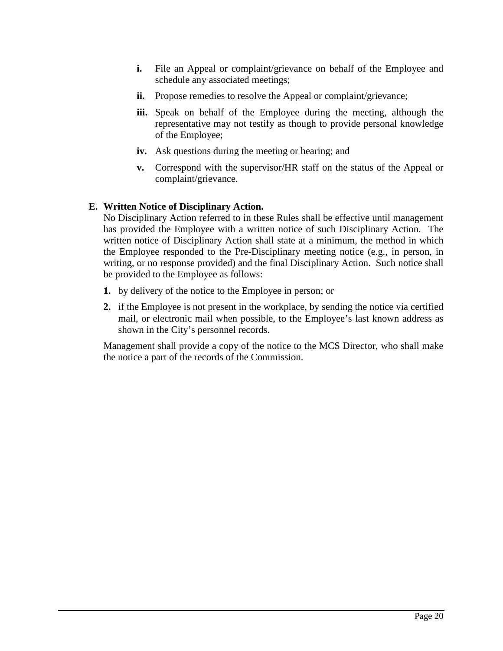- **i.** File an Appeal or complaint/grievance on behalf of the Employee and schedule any associated meetings;
- **ii.** Propose remedies to resolve the Appeal or complaint/grievance;
- **iii.** Speak on behalf of the Employee during the meeting, although the representative may not testify as though to provide personal knowledge of the Employee;
- **iv.** Ask questions during the meeting or hearing; and
- **v.** Correspond with the supervisor/HR staff on the status of the Appeal or complaint/grievance.

# **E. Written Notice of Disciplinary Action.**

No Disciplinary Action referred to in these Rules shall be effective until management has provided the Employee with a written notice of such Disciplinary Action. The written notice of Disciplinary Action shall state at a minimum, the method in which the Employee responded to the Pre-Disciplinary meeting notice (e.g., in person, in writing, or no response provided) and the final Disciplinary Action. Such notice shall be provided to the Employee as follows:

- **1.** by delivery of the notice to the Employee in person; or
- **2.** if the Employee is not present in the workplace, by sending the notice via certified mail, or electronic mail when possible, to the Employee's last known address as shown in the City's personnel records.

Management shall provide a copy of the notice to the MCS Director, who shall make the notice a part of the records of the Commission.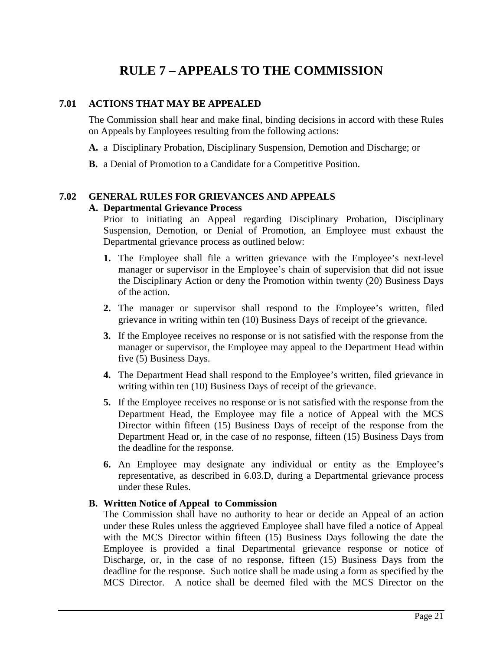# **RULE 7 – APPEALS TO THE COMMISSION**

# <span id="page-22-1"></span><span id="page-22-0"></span>**7.01 ACTIONS THAT MAY BE APPEALED**

The Commission shall hear and make final, binding decisions in accord with these Rules on Appeals by Employees resulting from the following actions:

**A.** a Disciplinary Probation, Disciplinary Suspension, Demotion and Discharge; or

**B.** a Denial of Promotion to a Candidate for a Competitive Position.

# <span id="page-22-2"></span>**7.02 GENERAL RULES FOR GRIEVANCES AND APPEALS**

# **A. Departmental Grievance Process**

Prior to initiating an Appeal regarding Disciplinary Probation, Disciplinary Suspension, Demotion, or Denial of Promotion, an Employee must exhaust the Departmental grievance process as outlined below:

- **1.** The Employee shall file a written grievance with the Employee's next-level manager or supervisor in the Employee's chain of supervision that did not issue the Disciplinary Action or deny the Promotion within twenty (20) Business Days of the action.
- **2.** The manager or supervisor shall respond to the Employee's written, filed grievance in writing within ten (10) Business Days of receipt of the grievance.
- **3.** If the Employee receives no response or is not satisfied with the response from the manager or supervisor, the Employee may appeal to the Department Head within five (5) Business Days.
- **4.** The Department Head shall respond to the Employee's written, filed grievance in writing within ten (10) Business Days of receipt of the grievance.
- **5.** If the Employee receives no response or is not satisfied with the response from the Department Head, the Employee may file a notice of Appeal with the MCS Director within fifteen (15) Business Days of receipt of the response from the Department Head or, in the case of no response, fifteen (15) Business Days from the deadline for the response.
- **6.** An Employee may designate any individual or entity as the Employee's representative, as described in 6.03.D, during a Departmental grievance process under these Rules.

# **B. Written Notice of Appeal to Commission**

The Commission shall have no authority to hear or decide an Appeal of an action under these Rules unless the aggrieved Employee shall have filed a notice of Appeal with the MCS Director within fifteen (15) Business Days following the date the Employee is provided a final Departmental grievance response or notice of Discharge, or, in the case of no response, fifteen (15) Business Days from the deadline for the response. Such notice shall be made using a form as specified by the MCS Director. A notice shall be deemed filed with the MCS Director on the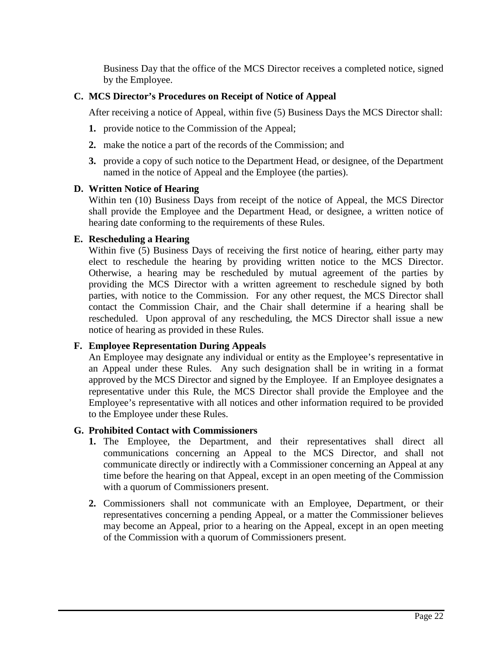Business Day that the office of the MCS Director receives a completed notice, signed by the Employee.

# **C. MCS Director's Procedures on Receipt of Notice of Appeal**

After receiving a notice of Appeal, within five (5) Business Days the MCS Director shall:

- **1.** provide notice to the Commission of the Appeal;
- **2.** make the notice a part of the records of the Commission; and
- **3.** provide a copy of such notice to the Department Head, or designee, of the Department named in the notice of Appeal and the Employee (the parties).

# **D. Written Notice of Hearing**

Within ten (10) Business Days from receipt of the notice of Appeal, the MCS Director shall provide the Employee and the Department Head, or designee, a written notice of hearing date conforming to the requirements of these Rules.

# **E. Rescheduling a Hearing**

Within five (5) Business Days of receiving the first notice of hearing, either party may elect to reschedule the hearing by providing written notice to the MCS Director. Otherwise, a hearing may be rescheduled by mutual agreement of the parties by providing the MCS Director with a written agreement to reschedule signed by both parties, with notice to the Commission. For any other request, the MCS Director shall contact the Commission Chair, and the Chair shall determine if a hearing shall be rescheduled. Upon approval of any rescheduling, the MCS Director shall issue a new notice of hearing as provided in these Rules.

# **F. Employee Representation During Appeals**

An Employee may designate any individual or entity as the Employee's representative in an Appeal under these Rules. Any such designation shall be in writing in a format approved by the MCS Director and signed by the Employee. If an Employee designates a representative under this Rule, the MCS Director shall provide the Employee and the Employee's representative with all notices and other information required to be provided to the Employee under these Rules.

#### **G. Prohibited Contact with Commissioners**

- **1.** The Employee, the Department, and their representatives shall direct all communications concerning an Appeal to the MCS Director, and shall not communicate directly or indirectly with a Commissioner concerning an Appeal at any time before the hearing on that Appeal, except in an open meeting of the Commission with a quorum of Commissioners present.
- **2.** Commissioners shall not communicate with an Employee, Department, or their representatives concerning a pending Appeal, or a matter the Commissioner believes may become an Appeal, prior to a hearing on the Appeal, except in an open meeting of the Commission with a quorum of Commissioners present.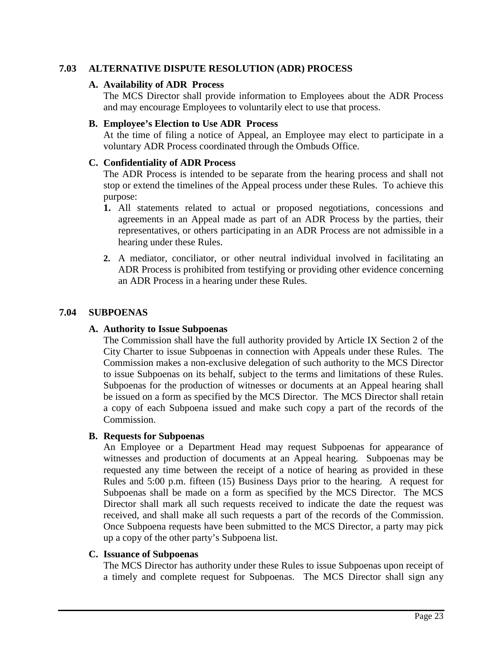# <span id="page-24-0"></span>**7.03 ALTERNATIVE DISPUTE RESOLUTION (ADR) PROCESS**

# **A. Availability of ADR Process**

The MCS Director shall provide information to Employees about the ADR Process and may encourage Employees to voluntarily elect to use that process.

#### **B. Employee's Election to Use ADR Process**

At the time of filing a notice of Appeal, an Employee may elect to participate in a voluntary ADR Process coordinated through the Ombuds Office.

# **C. Confidentiality of ADR Process**

The ADR Process is intended to be separate from the hearing process and shall not stop or extend the timelines of the Appeal process under these Rules. To achieve this purpose:

- **1.** All statements related to actual or proposed negotiations, concessions and agreements in an Appeal made as part of an ADR Process by the parties, their representatives, or others participating in an ADR Process are not admissible in a hearing under these Rules.
- **2.** A mediator, conciliator, or other neutral individual involved in facilitating an ADR Process is prohibited from testifying or providing other evidence concerning an ADR Process in a hearing under these Rules.

# <span id="page-24-1"></span>**7.04 SUBPOENAS**

#### **A. Authority to Issue Subpoenas**

The Commission shall have the full authority provided by Article IX Section 2 of the City Charter to issue Subpoenas in connection with Appeals under these Rules. The Commission makes a non-exclusive delegation of such authority to the MCS Director to issue Subpoenas on its behalf, subject to the terms and limitations of these Rules. Subpoenas for the production of witnesses or documents at an Appeal hearing shall be issued on a form as specified by the MCS Director. The MCS Director shall retain a copy of each Subpoena issued and make such copy a part of the records of the Commission.

#### **B. Requests for Subpoenas**

An Employee or a Department Head may request Subpoenas for appearance of witnesses and production of documents at an Appeal hearing. Subpoenas may be requested any time between the receipt of a notice of hearing as provided in these Rules and 5:00 p.m. fifteen (15) Business Days prior to the hearing. A request for Subpoenas shall be made on a form as specified by the MCS Director. The MCS Director shall mark all such requests received to indicate the date the request was received, and shall make all such requests a part of the records of the Commission. Once Subpoena requests have been submitted to the MCS Director, a party may pick up a copy of the other party's Subpoena list.

#### **C. Issuance of Subpoenas**

The MCS Director has authority under these Rules to issue Subpoenas upon receipt of a timely and complete request for Subpoenas. The MCS Director shall sign any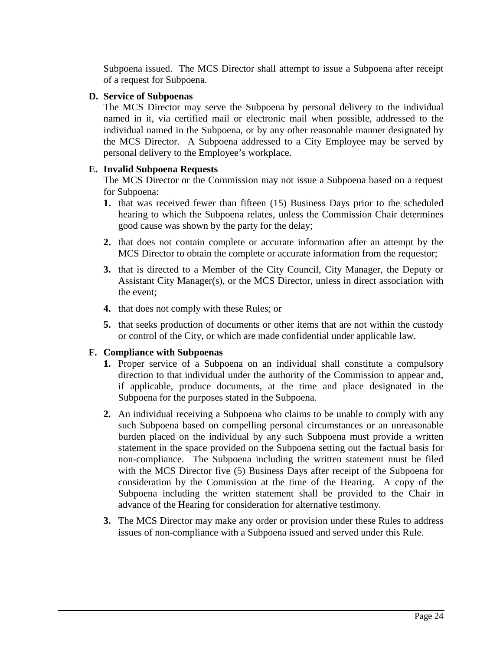Subpoena issued. The MCS Director shall attempt to issue a Subpoena after receipt of a request for Subpoena.

# **D. Service of Subpoenas**

The MCS Director may serve the Subpoena by personal delivery to the individual named in it, via certified mail or electronic mail when possible, addressed to the individual named in the Subpoena, or by any other reasonable manner designated by the MCS Director. A Subpoena addressed to a City Employee may be served by personal delivery to the Employee's workplace.

# **E. Invalid Subpoena Requests**

The MCS Director or the Commission may not issue a Subpoena based on a request for Subpoena:

- **1.** that was received fewer than fifteen (15) Business Days prior to the scheduled hearing to which the Subpoena relates, unless the Commission Chair determines good cause was shown by the party for the delay;
- **2.** that does not contain complete or accurate information after an attempt by the MCS Director to obtain the complete or accurate information from the requestor;
- **3.** that is directed to a Member of the City Council, City Manager, the Deputy or Assistant City Manager(s), or the MCS Director, unless in direct association with the event;
- **4.** that does not comply with these Rules; or
- **5.** that seeks production of documents or other items that are not within the custody or control of the City, or which are made confidential under applicable law.

# **F. Compliance with Subpoenas**

- **1.** Proper service of a Subpoena on an individual shall constitute a compulsory direction to that individual under the authority of the Commission to appear and, if applicable, produce documents, at the time and place designated in the Subpoena for the purposes stated in the Subpoena.
- **2.** An individual receiving a Subpoena who claims to be unable to comply with any such Subpoena based on compelling personal circumstances or an unreasonable burden placed on the individual by any such Subpoena must provide a written statement in the space provided on the Subpoena setting out the factual basis for non-compliance. The Subpoena including the written statement must be filed with the MCS Director five (5) Business Days after receipt of the Subpoena for consideration by the Commission at the time of the Hearing. A copy of the Subpoena including the written statement shall be provided to the Chair in advance of the Hearing for consideration for alternative testimony.
- **3.** The MCS Director may make any order or provision under these Rules to address issues of non-compliance with a Subpoena issued and served under this Rule.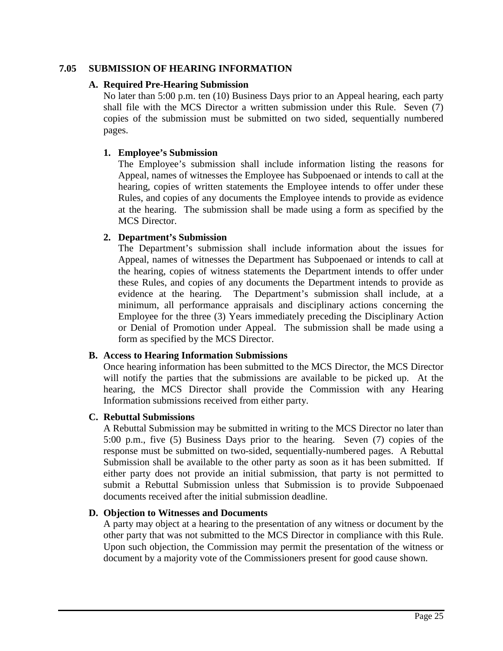# <span id="page-26-0"></span>**7.05 SUBMISSION OF HEARING INFORMATION**

# **A. Required Pre-Hearing Submission**

No later than 5:00 p.m. ten (10) Business Days prior to an Appeal hearing, each party shall file with the MCS Director a written submission under this Rule. Seven (7) copies of the submission must be submitted on two sided, sequentially numbered pages.

# **1. Employee's Submission**

The Employee's submission shall include information listing the reasons for Appeal, names of witnesses the Employee has Subpoenaed or intends to call at the hearing, copies of written statements the Employee intends to offer under these Rules, and copies of any documents the Employee intends to provide as evidence at the hearing. The submission shall be made using a form as specified by the MCS Director.

# **2. Department's Submission**

The Department's submission shall include information about the issues for Appeal, names of witnesses the Department has Subpoenaed or intends to call at the hearing, copies of witness statements the Department intends to offer under these Rules, and copies of any documents the Department intends to provide as evidence at the hearing. The Department's submission shall include, at a minimum, all performance appraisals and disciplinary actions concerning the Employee for the three (3) Years immediately preceding the Disciplinary Action or Denial of Promotion under Appeal. The submission shall be made using a form as specified by the MCS Director.

#### **B. Access to Hearing Information Submissions**

Once hearing information has been submitted to the MCS Director, the MCS Director will notify the parties that the submissions are available to be picked up. At the hearing, the MCS Director shall provide the Commission with any Hearing Information submissions received from either party.

#### **C. Rebuttal Submissions**

A Rebuttal Submission may be submitted in writing to the MCS Director no later than 5:00 p.m., five (5) Business Days prior to the hearing. Seven (7) copies of the response must be submitted on two-sided, sequentially-numbered pages. A Rebuttal Submission shall be available to the other party as soon as it has been submitted. If either party does not provide an initial submission, that party is not permitted to submit a Rebuttal Submission unless that Submission is to provide Subpoenaed documents received after the initial submission deadline.

#### **D. Objection to Witnesses and Documents**

A party may object at a hearing to the presentation of any witness or document by the other party that was not submitted to the MCS Director in compliance with this Rule. Upon such objection, the Commission may permit the presentation of the witness or document by a majority vote of the Commissioners present for good cause shown.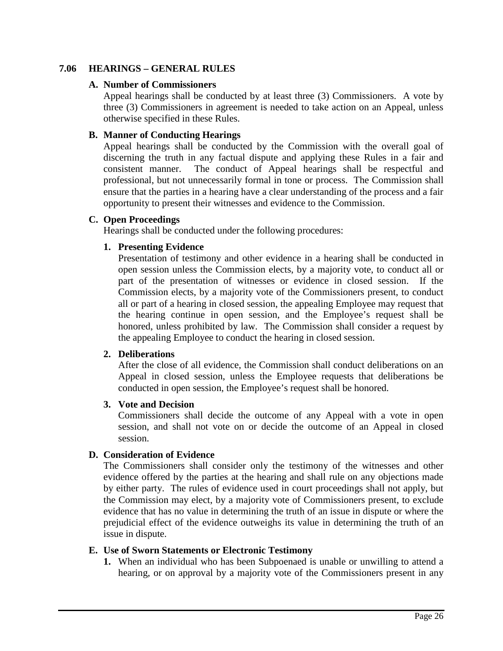# <span id="page-27-0"></span>**7.06 HEARINGS – GENERAL RULES**

#### **A. Number of Commissioners**

Appeal hearings shall be conducted by at least three (3) Commissioners. A vote by three (3) Commissioners in agreement is needed to take action on an Appeal, unless otherwise specified in these Rules.

#### **B. Manner of Conducting Hearings**

Appeal hearings shall be conducted by the Commission with the overall goal of discerning the truth in any factual dispute and applying these Rules in a fair and consistent manner. The conduct of Appeal hearings shall be respectful and professional, but not unnecessarily formal in tone or process. The Commission shall ensure that the parties in a hearing have a clear understanding of the process and a fair opportunity to present their witnesses and evidence to the Commission.

# **C. Open Proceedings**

Hearings shall be conducted under the following procedures:

#### **1. Presenting Evidence**

Presentation of testimony and other evidence in a hearing shall be conducted in open session unless the Commission elects, by a majority vote, to conduct all or part of the presentation of witnesses or evidence in closed session. If the Commission elects, by a majority vote of the Commissioners present, to conduct all or part of a hearing in closed session, the appealing Employee may request that the hearing continue in open session, and the Employee's request shall be honored, unless prohibited by law. The Commission shall consider a request by the appealing Employee to conduct the hearing in closed session.

#### **2. Deliberations**

After the close of all evidence, the Commission shall conduct deliberations on an Appeal in closed session, unless the Employee requests that deliberations be conducted in open session, the Employee's request shall be honored.

#### **3. Vote and Decision**

Commissioners shall decide the outcome of any Appeal with a vote in open session, and shall not vote on or decide the outcome of an Appeal in closed session.

#### **D. Consideration of Evidence**

The Commissioners shall consider only the testimony of the witnesses and other evidence offered by the parties at the hearing and shall rule on any objections made by either party. The rules of evidence used in court proceedings shall not apply, but the Commission may elect, by a majority vote of Commissioners present, to exclude evidence that has no value in determining the truth of an issue in dispute or where the prejudicial effect of the evidence outweighs its value in determining the truth of an issue in dispute.

#### **E. Use of Sworn Statements or Electronic Testimony**

**1.** When an individual who has been Subpoenaed is unable or unwilling to attend a hearing, or on approval by a majority vote of the Commissioners present in any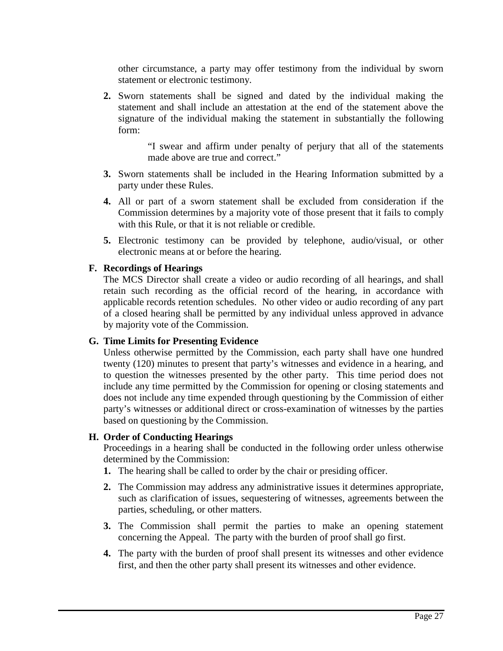other circumstance, a party may offer testimony from the individual by sworn statement or electronic testimony.

**2.** Sworn statements shall be signed and dated by the individual making the statement and shall include an attestation at the end of the statement above the signature of the individual making the statement in substantially the following form:

> "I swear and affirm under penalty of perjury that all of the statements made above are true and correct."

- **3.** Sworn statements shall be included in the Hearing Information submitted by a party under these Rules.
- **4.** All or part of a sworn statement shall be excluded from consideration if the Commission determines by a majority vote of those present that it fails to comply with this Rule, or that it is not reliable or credible.
- **5.** Electronic testimony can be provided by telephone, audio/visual, or other electronic means at or before the hearing.

# **F. Recordings of Hearings**

The MCS Director shall create a video or audio recording of all hearings, and shall retain such recording as the official record of the hearing, in accordance with applicable records retention schedules. No other video or audio recording of any part of a closed hearing shall be permitted by any individual unless approved in advance by majority vote of the Commission.

#### **G. Time Limits for Presenting Evidence**

Unless otherwise permitted by the Commission, each party shall have one hundred twenty (120) minutes to present that party's witnesses and evidence in a hearing, and to question the witnesses presented by the other party. This time period does not include any time permitted by the Commission for opening or closing statements and does not include any time expended through questioning by the Commission of either party's witnesses or additional direct or cross-examination of witnesses by the parties based on questioning by the Commission.

# **H. Order of Conducting Hearings**

Proceedings in a hearing shall be conducted in the following order unless otherwise determined by the Commission:

- **1.** The hearing shall be called to order by the chair or presiding officer.
- **2.** The Commission may address any administrative issues it determines appropriate, such as clarification of issues, sequestering of witnesses, agreements between the parties, scheduling, or other matters.
- **3.** The Commission shall permit the parties to make an opening statement concerning the Appeal. The party with the burden of proof shall go first.
- **4.** The party with the burden of proof shall present its witnesses and other evidence first, and then the other party shall present its witnesses and other evidence.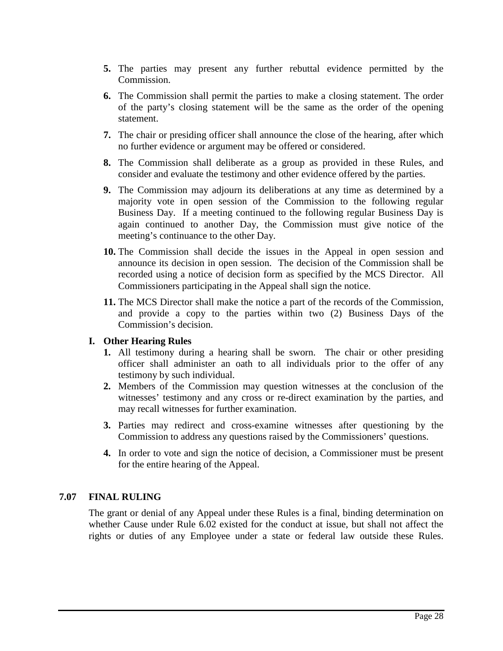- **5.** The parties may present any further rebuttal evidence permitted by the Commission.
- **6.** The Commission shall permit the parties to make a closing statement. The order of the party's closing statement will be the same as the order of the opening statement.
- **7.** The chair or presiding officer shall announce the close of the hearing, after which no further evidence or argument may be offered or considered.
- **8.** The Commission shall deliberate as a group as provided in these Rules, and consider and evaluate the testimony and other evidence offered by the parties.
- **9.** The Commission may adjourn its deliberations at any time as determined by a majority vote in open session of the Commission to the following regular Business Day. If a meeting continued to the following regular Business Day is again continued to another Day, the Commission must give notice of the meeting's continuance to the other Day.
- **10.** The Commission shall decide the issues in the Appeal in open session and announce its decision in open session. The decision of the Commission shall be recorded using a notice of decision form as specified by the MCS Director. All Commissioners participating in the Appeal shall sign the notice.
- **11.** The MCS Director shall make the notice a part of the records of the Commission, and provide a copy to the parties within two (2) Business Days of the Commission's decision.

# **I. Other Hearing Rules**

- **1.** All testimony during a hearing shall be sworn. The chair or other presiding officer shall administer an oath to all individuals prior to the offer of any testimony by such individual.
- **2.** Members of the Commission may question witnesses at the conclusion of the witnesses' testimony and any cross or re-direct examination by the parties, and may recall witnesses for further examination.
- **3.** Parties may redirect and cross-examine witnesses after questioning by the Commission to address any questions raised by the Commissioners' questions.
- **4.** In order to vote and sign the notice of decision, a Commissioner must be present for the entire hearing of the Appeal.

# <span id="page-29-0"></span>**7.07 FINAL RULING**

The grant or denial of any Appeal under these Rules is a final, binding determination on whether Cause under Rule 6.02 existed for the conduct at issue, but shall not affect the rights or duties of any Employee under a state or federal law outside these Rules.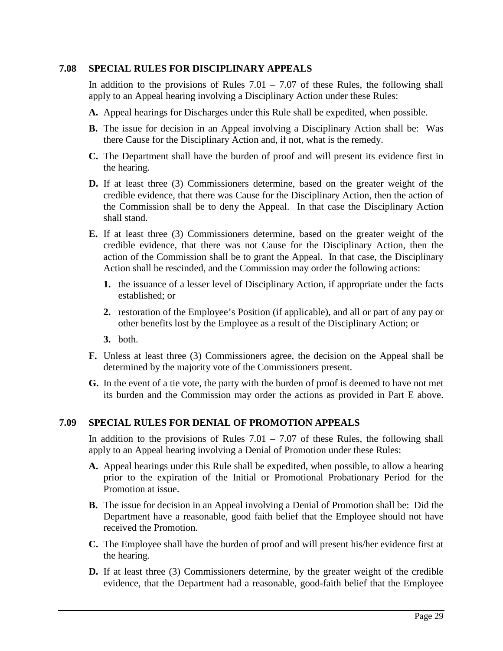# <span id="page-30-0"></span>**7.08 SPECIAL RULES FOR DISCIPLINARY APPEALS**

In addition to the provisions of Rules  $7.01 - 7.07$  of these Rules, the following shall apply to an Appeal hearing involving a Disciplinary Action under these Rules:

- **A.** Appeal hearings for Discharges under this Rule shall be expedited, when possible.
- **B.** The issue for decision in an Appeal involving a Disciplinary Action shall be: Was there Cause for the Disciplinary Action and, if not, what is the remedy.
- **C.** The Department shall have the burden of proof and will present its evidence first in the hearing.
- **D.** If at least three (3) Commissioners determine, based on the greater weight of the credible evidence, that there was Cause for the Disciplinary Action, then the action of the Commission shall be to deny the Appeal. In that case the Disciplinary Action shall stand.
- **E.** If at least three (3) Commissioners determine, based on the greater weight of the credible evidence, that there was not Cause for the Disciplinary Action, then the action of the Commission shall be to grant the Appeal. In that case, the Disciplinary Action shall be rescinded, and the Commission may order the following actions:
	- **1.** the issuance of a lesser level of Disciplinary Action, if appropriate under the facts established; or
	- **2.** restoration of the Employee's Position (if applicable), and all or part of any pay or other benefits lost by the Employee as a result of the Disciplinary Action; or
	- **3.** both.
- **F.** Unless at least three (3) Commissioners agree, the decision on the Appeal shall be determined by the majority vote of the Commissioners present.
- **G.** In the event of a tie vote, the party with the burden of proof is deemed to have not met its burden and the Commission may order the actions as provided in Part E above.

# <span id="page-30-1"></span>**7.09 SPECIAL RULES FOR DENIAL OF PROMOTION APPEALS**

In addition to the provisions of Rules  $7.01 - 7.07$  of these Rules, the following shall apply to an Appeal hearing involving a Denial of Promotion under these Rules:

- **A.** Appeal hearings under this Rule shall be expedited, when possible, to allow a hearing prior to the expiration of the Initial or Promotional Probationary Period for the Promotion at issue.
- **B.** The issue for decision in an Appeal involving a Denial of Promotion shall be: Did the Department have a reasonable, good faith belief that the Employee should not have received the Promotion.
- **C.** The Employee shall have the burden of proof and will present his/her evidence first at the hearing.
- **D.** If at least three (3) Commissioners determine, by the greater weight of the credible evidence, that the Department had a reasonable, good-faith belief that the Employee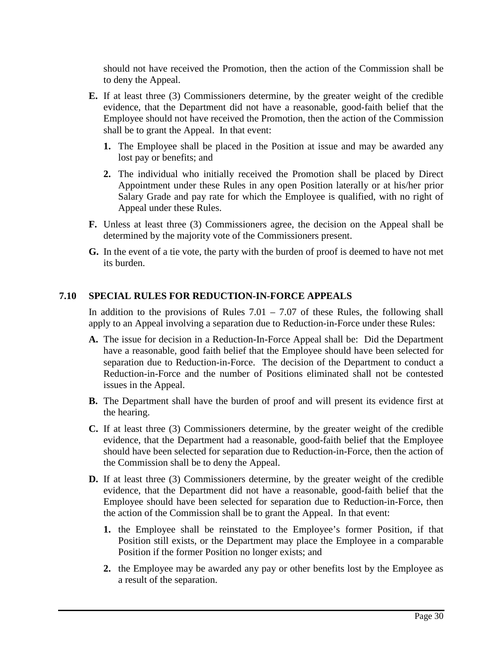should not have received the Promotion, then the action of the Commission shall be to deny the Appeal.

- **E.** If at least three (3) Commissioners determine, by the greater weight of the credible evidence, that the Department did not have a reasonable, good-faith belief that the Employee should not have received the Promotion, then the action of the Commission shall be to grant the Appeal. In that event:
	- **1.** The Employee shall be placed in the Position at issue and may be awarded any lost pay or benefits; and
	- **2.** The individual who initially received the Promotion shall be placed by Direct Appointment under these Rules in any open Position laterally or at his/her prior Salary Grade and pay rate for which the Employee is qualified, with no right of Appeal under these Rules.
- **F.** Unless at least three (3) Commissioners agree, the decision on the Appeal shall be determined by the majority vote of the Commissioners present.
- **G.** In the event of a tie vote, the party with the burden of proof is deemed to have not met its burden.

# <span id="page-31-0"></span>**7.10 SPECIAL RULES FOR REDUCTION-IN-FORCE APPEALS**

In addition to the provisions of Rules  $7.01 - 7.07$  of these Rules, the following shall apply to an Appeal involving a separation due to Reduction-in-Force under these Rules:

- **A.** The issue for decision in a Reduction-In-Force Appeal shall be: Did the Department have a reasonable, good faith belief that the Employee should have been selected for separation due to Reduction-in-Force. The decision of the Department to conduct a Reduction-in-Force and the number of Positions eliminated shall not be contested issues in the Appeal.
- **B.** The Department shall have the burden of proof and will present its evidence first at the hearing.
- **C.** If at least three (3) Commissioners determine, by the greater weight of the credible evidence, that the Department had a reasonable, good-faith belief that the Employee should have been selected for separation due to Reduction-in-Force, then the action of the Commission shall be to deny the Appeal.
- **D.** If at least three (3) Commissioners determine, by the greater weight of the credible evidence, that the Department did not have a reasonable, good-faith belief that the Employee should have been selected for separation due to Reduction-in-Force, then the action of the Commission shall be to grant the Appeal. In that event:
	- **1.** the Employee shall be reinstated to the Employee's former Position, if that Position still exists, or the Department may place the Employee in a comparable Position if the former Position no longer exists; and
	- **2.** the Employee may be awarded any pay or other benefits lost by the Employee as a result of the separation.